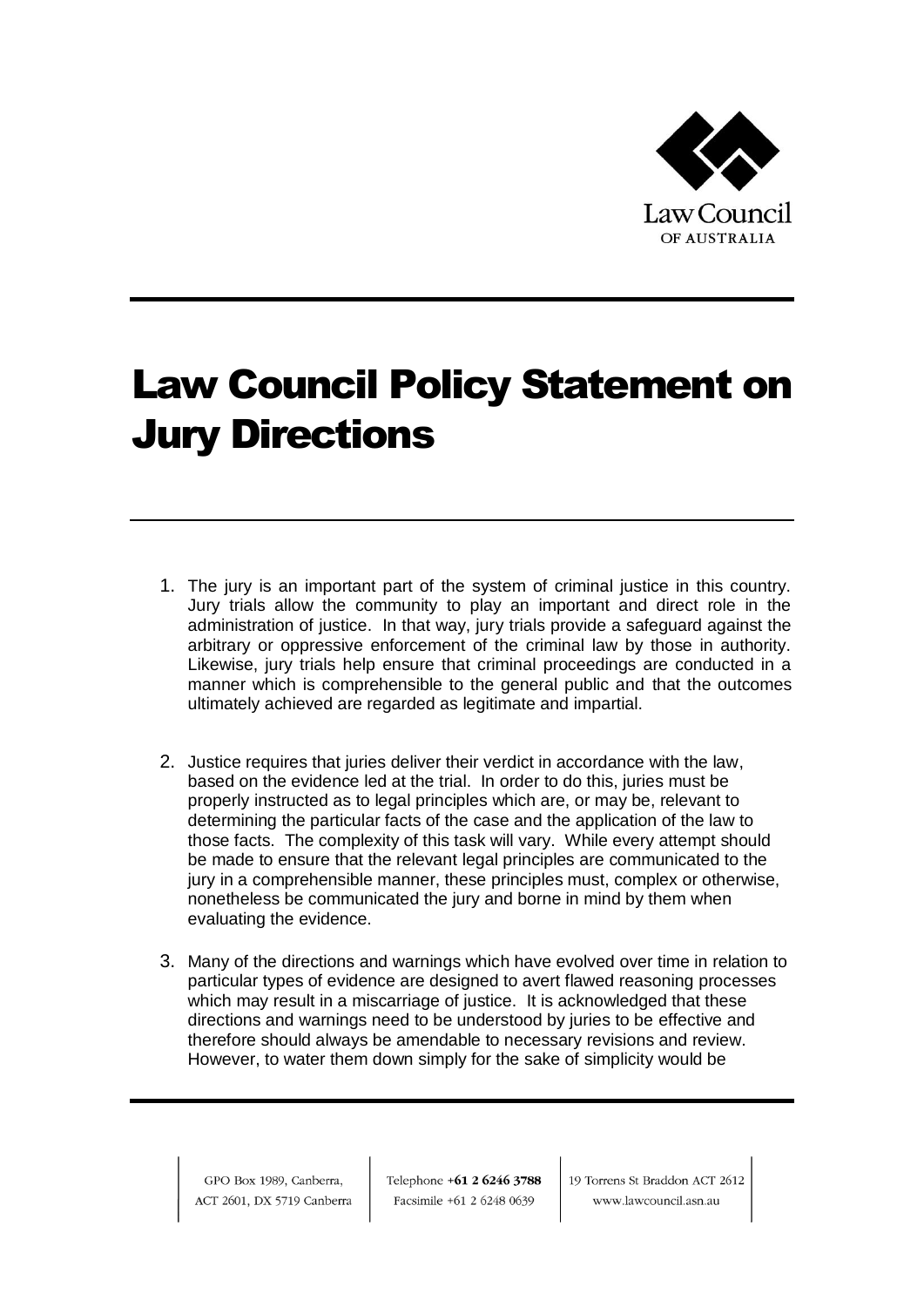

## Law Council Policy Statement on Jury Directions

- 1. The jury is an important part of the system of criminal justice in this country. Jury trials allow the community to play an important and direct role in the administration of justice. In that way, jury trials provide a safeguard against the arbitrary or oppressive enforcement of the criminal law by those in authority. Likewise, jury trials help ensure that criminal proceedings are conducted in a manner which is comprehensible to the general public and that the outcomes ultimately achieved are regarded as legitimate and impartial.
- 2. Justice requires that juries deliver their verdict in accordance with the law, based on the evidence led at the trial. In order to do this, juries must be properly instructed as to legal principles which are, or may be, relevant to determining the particular facts of the case and the application of the law to those facts. The complexity of this task will vary. While every attempt should be made to ensure that the relevant legal principles are communicated to the jury in a comprehensible manner, these principles must, complex or otherwise, nonetheless be communicated the jury and borne in mind by them when evaluating the evidence.
- 3. Many of the directions and warnings which have evolved over time in relation to particular types of evidence are designed to avert flawed reasoning processes which may result in a miscarriage of justice. It is acknowledged that these directions and warnings need to be understood by juries to be effective and therefore should always be amendable to necessary revisions and review. However, to water them down simply for the sake of simplicity would be

GPO Box 1989, Canberra, ACT 2601, DX 5719 Canberra Telephone +61 2 6246 3788 Facsimile +61 2 6248 0639

19 Torrens St Braddon ACT 2612 www.lawcouncil.asn.au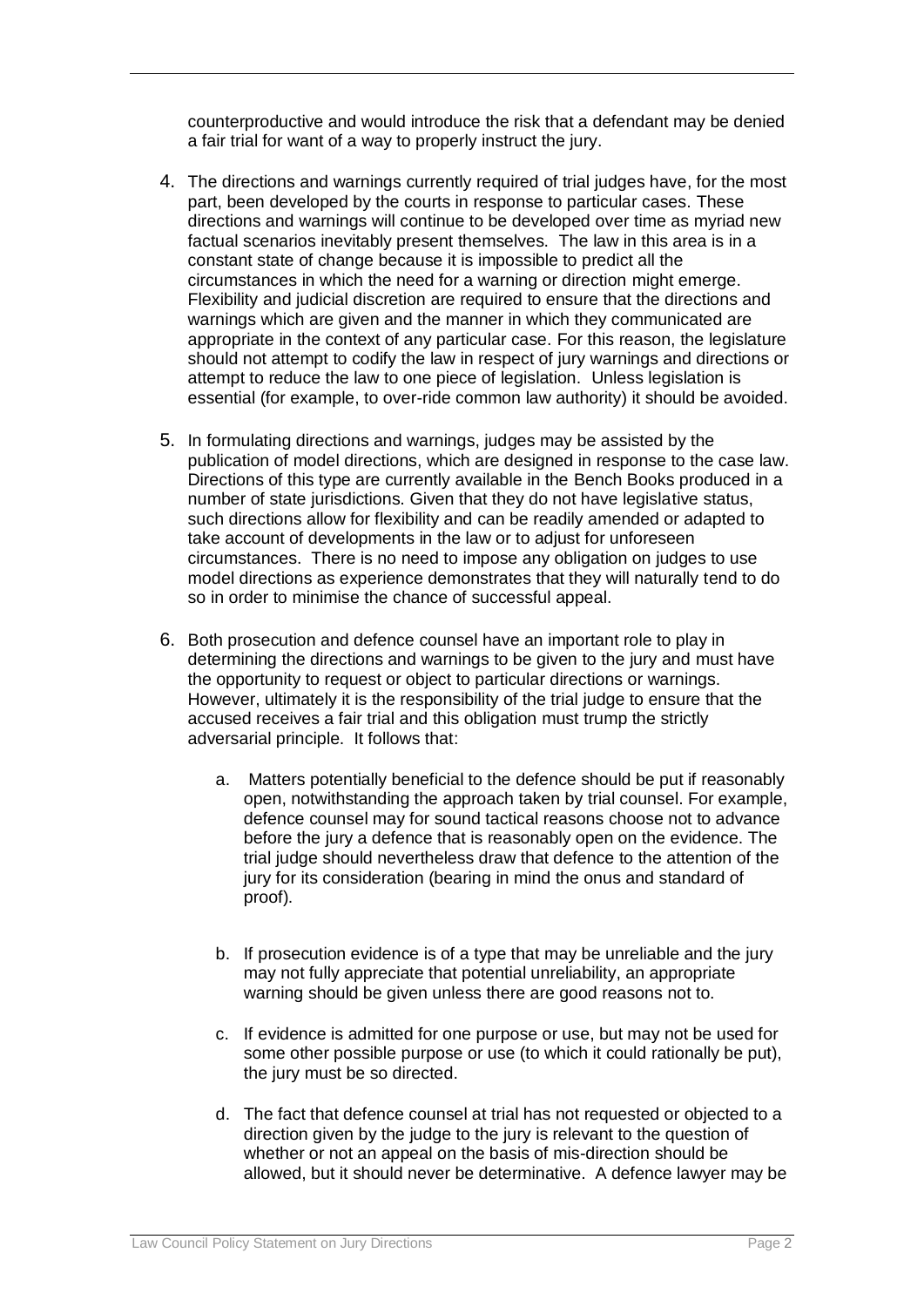counterproductive and would introduce the risk that a defendant may be denied a fair trial for want of a way to properly instruct the jury.

- 4. The directions and warnings currently required of trial judges have, for the most part, been developed by the courts in response to particular cases. These directions and warnings will continue to be developed over time as myriad new factual scenarios inevitably present themselves. The law in this area is in a constant state of change because it is impossible to predict all the circumstances in which the need for a warning or direction might emerge. Flexibility and judicial discretion are required to ensure that the directions and warnings which are given and the manner in which they communicated are appropriate in the context of any particular case. For this reason, the legislature should not attempt to codify the law in respect of jury warnings and directions or attempt to reduce the law to one piece of legislation. Unless legislation is essential (for example, to over-ride common law authority) it should be avoided.
- 5. In formulating directions and warnings, judges may be assisted by the publication of model directions, which are designed in response to the case law. Directions of this type are currently available in the Bench Books produced in a number of state jurisdictions. Given that they do not have legislative status, such directions allow for flexibility and can be readily amended or adapted to take account of developments in the law or to adjust for unforeseen circumstances. There is no need to impose any obligation on judges to use model directions as experience demonstrates that they will naturally tend to do so in order to minimise the chance of successful appeal.
- 6. Both prosecution and defence counsel have an important role to play in determining the directions and warnings to be given to the jury and must have the opportunity to request or object to particular directions or warnings. However, ultimately it is the responsibility of the trial judge to ensure that the accused receives a fair trial and this obligation must trump the strictly adversarial principle. It follows that:
	- a. Matters potentially beneficial to the defence should be put if reasonably open, notwithstanding the approach taken by trial counsel. For example, defence counsel may for sound tactical reasons choose not to advance before the jury a defence that is reasonably open on the evidence. The trial judge should nevertheless draw that defence to the attention of the jury for its consideration (bearing in mind the onus and standard of proof).
	- b. If prosecution evidence is of a type that may be unreliable and the jury may not fully appreciate that potential unreliability, an appropriate warning should be given unless there are good reasons not to.
	- c. If evidence is admitted for one purpose or use, but may not be used for some other possible purpose or use (to which it could rationally be put), the jury must be so directed.
	- d. The fact that defence counsel at trial has not requested or objected to a direction given by the judge to the jury is relevant to the question of whether or not an appeal on the basis of mis-direction should be allowed, but it should never be determinative. A defence lawyer may be